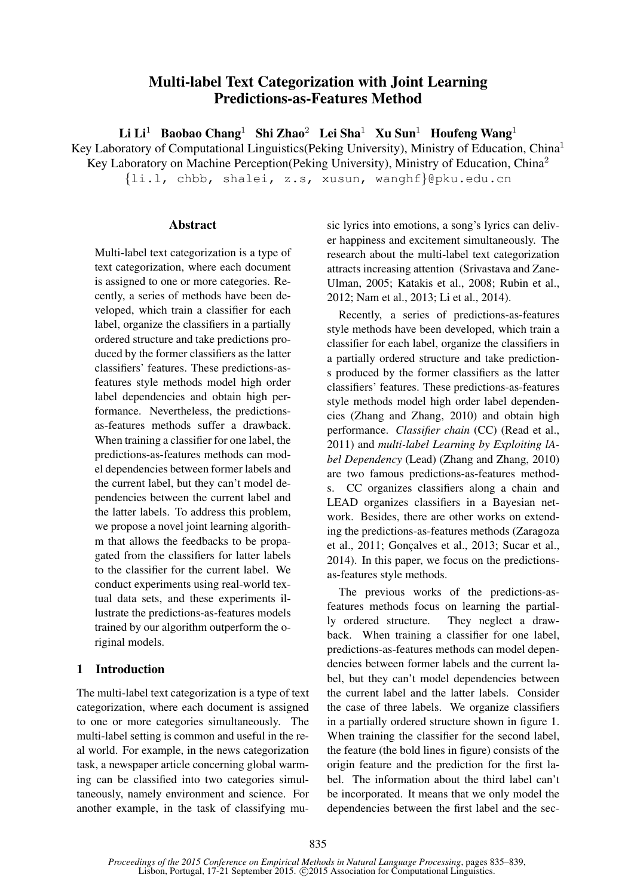# Multi-label Text Categorization with Joint Learning Predictions-as-Features Method

 $Li Li<sup>1</sup>$  Baobao Chang<sup>1</sup> Shi Zhao<sup>2</sup> Lei Sha<sup>1</sup> Xu Sun<sup>1</sup> Houfeng Wang<sup>1</sup>

Key Laboratory of Computational Linguistics(Peking University), Ministry of Education, China<sup>1</sup>

Key Laboratory on Machine Perception(Peking University), Ministry of Education, China<sup>2</sup>

{li.l, chbb, shalei, z.s, xusun, wanghf}@pku.edu.cn

# **Abstract**

Multi-label text categorization is a type of text categorization, where each document is assigned to one or more categories. Recently, a series of methods have been developed, which train a classifier for each label, organize the classifiers in a partially ordered structure and take predictions produced by the former classifiers as the latter classifiers' features. These predictions-asfeatures style methods model high order label dependencies and obtain high performance. Nevertheless, the predictionsas-features methods suffer a drawback. When training a classifier for one label, the predictions-as-features methods can model dependencies between former labels and the current label, but they can't model dependencies between the current label and the latter labels. To address this problem, we propose a novel joint learning algorithm that allows the feedbacks to be propagated from the classifiers for latter labels to the classifier for the current label. We conduct experiments using real-world textual data sets, and these experiments illustrate the predictions-as-features models trained by our algorithm outperform the original models.

# 1 Introduction

The multi-label text categorization is a type of text categorization, where each document is assigned to one or more categories simultaneously. The multi-label setting is common and useful in the real world. For example, in the news categorization task, a newspaper article concerning global warming can be classified into two categories simultaneously, namely environment and science. For another example, in the task of classifying music lyrics into emotions, a song's lyrics can deliver happiness and excitement simultaneously. The research about the multi-label text categorization attracts increasing attention (Srivastava and Zane-Ulman, 2005; Katakis et al., 2008; Rubin et al., 2012; Nam et al., 2013; Li et al., 2014).

Recently, a series of predictions-as-features style methods have been developed, which train a classifier for each label, organize the classifiers in a partially ordered structure and take predictions produced by the former classifiers as the latter classifiers' features. These predictions-as-features style methods model high order label dependencies (Zhang and Zhang, 2010) and obtain high performance. *Classifier chain* (CC) (Read et al., 2011) and *multi-label Learning by Exploiting lAbel Dependency* (Lead) (Zhang and Zhang, 2010) are two famous predictions-as-features methods. CC organizes classifiers along a chain and LEAD organizes classifiers in a Bayesian network. Besides, there are other works on extending the predictions-as-features methods (Zaragoza et al., 2011; Gonçalves et al., 2013; Sucar et al., 2014). In this paper, we focus on the predictionsas-features style methods.

The previous works of the predictions-asfeatures methods focus on learning the partially ordered structure. They neglect a drawback. When training a classifier for one label, predictions-as-features methods can model dependencies between former labels and the current label, but they can't model dependencies between the current label and the latter labels. Consider the case of three labels. We organize classifiers in a partially ordered structure shown in figure 1. When training the classifier for the second label, the feature (the bold lines in figure) consists of the origin feature and the prediction for the first label. The information about the third label can't be incorporated. It means that we only model the dependencies between the first label and the sec-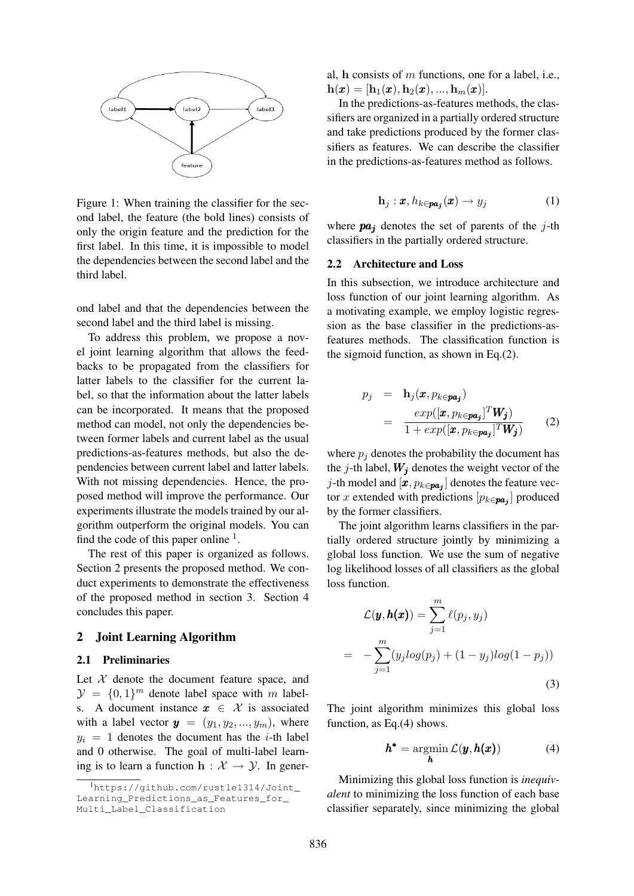

Figure 1: When training the classifier for the second label, the feature (the bold lines) consists of only the origin feature and the prediction for the first label. In this time, it is impossible to model the dependencies between the second label and the third label.

ond label and that the dependencies between the second label and the third label is missing.

To address this problem, we propose a novel joint learning algorithm that allows the feedbacks to be propagated from the classifiers for latter labels to the classifier for the current label, so that the information about the latter labels can be incorporated. It means that the proposed method can model, not only the dependencies between former labels and current label as the usual predictions-as-features methods, but also the dependencies between current label and latter labels. With not missing dependencies. Hence, the proposed method will improve the performance. Our experiments illustrate the models trained by our algorithm outperform the original models. You can find the code of this paper online  $<sup>1</sup>$ .</sup>

The rest of this paper is organized as follows. Section 2 presents the proposed method. We conduct experiments to demonstrate the effectiveness of the proposed method in section 3. Section 4 concludes this paper.

# 2 Joint Learning Algorithm

#### 2.1 Preliminaries

Let  $X$  denote the document feature space, and  $\mathcal{Y} = \{0, 1\}^m$  denote label space with m labels. A document instance  $x \in \mathcal{X}$  is associated with a label vector  $y = (y_1, y_2, ..., y_m)$ , where  $y_i = 1$  denotes the document has the *i*-th label and 0 otherwise. The goal of multi-label learning is to learn a function  $h : \mathcal{X} \to \mathcal{Y}$ . In general,  $h$  consists of  $m$  functions, one for a label, i.e.,  $h(x) = [h_1(x), h_2(x), ..., h_m(x)].$ 

In the predictions-as-features methods, the classifiers are organized in a partially ordered structure and take predictions produced by the former classifiers as features. We can describe the classifier in the predictions-as-features method as follows.

$$
\mathbf{h}_{j}:\boldsymbol{x},h_{k\in\boldsymbol{pa}_{j}}(\boldsymbol{x})\to y_{j}\tag{1}
$$

where  $pa_i$  denotes the set of parents of the j-th classifiers in the partially ordered structure.

#### 2.2 Architecture and Loss

In this subsection, we introduce architecture and loss function of our joint learning algorithm. As a motivating example, we employ logistic regression as the base classifier in the predictions-asfeatures methods. The classification function is the sigmoid function, as shown in Eq.(2).

$$
p_j = \mathbf{h}_j(\boldsymbol{x}, p_{k \in \boldsymbol{pa_j}})
$$
  
= 
$$
\frac{exp([\boldsymbol{x}, p_{k \in \boldsymbol{pa_j}}]^T \boldsymbol{W_j})}{1 + exp([\boldsymbol{x}, p_{k \in \boldsymbol{pa_j}}]^T \boldsymbol{W_j})}
$$
 (2)

where  $p_i$  denotes the probability the document has the j-th label,  $W_j$  denotes the weight vector of the j-th model and  $[x, p_{k \in pa_j}]$  denotes the feature vector x extended with predictions  $[p_{k \in pa_j}]$  produced by the former classifiers.

The joint algorithm learns classifiers in the partially ordered structure jointly by minimizing a global loss function. We use the sum of negative log likelihood losses of all classifiers as the global loss function.

$$
\mathcal{L}(\boldsymbol{y}, \boldsymbol{h}(\boldsymbol{x})) = \sum_{j=1}^{m} \ell(p_j, y_j)
$$

$$
= -\sum_{j=1}^{m} (y_j log(p_j) + (1 - y_j) log(1 - p_j))
$$
(3)

The joint algorithm minimizes this global loss function, as Eq.(4) shows.

$$
h^* = \operatorname*{argmin}_{h} \mathcal{L}(\mathbf{y}, h(\mathbf{x})) \tag{4}
$$

Minimizing this global loss function is *inequivalent* to minimizing the loss function of each base classifier separately, since minimizing the global

<sup>1</sup>https://github.com/rustle1314/Joint\_ Learning\_Predictions\_as\_Features\_for\_ Multi\_Label\_Classification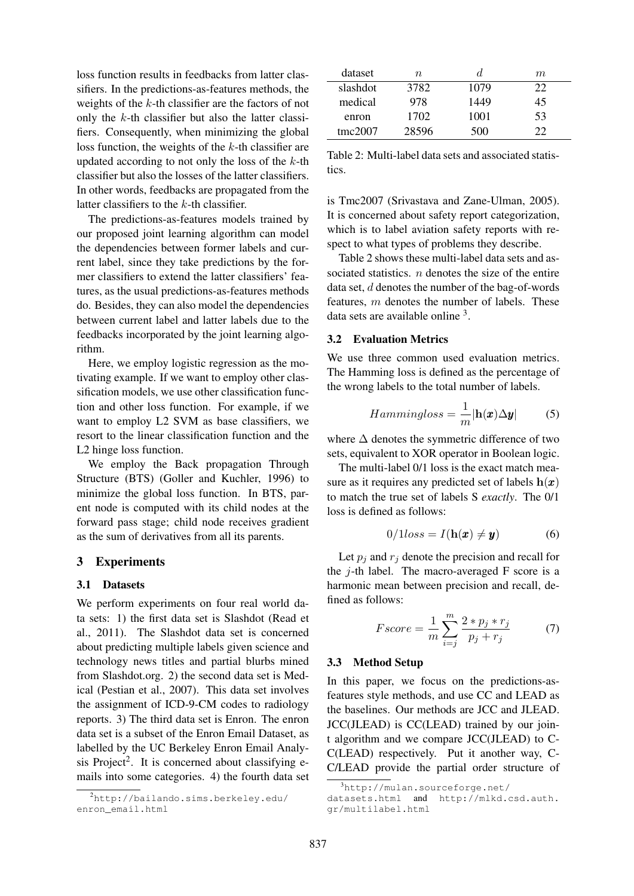loss function results in feedbacks from latter classifiers. In the predictions-as-features methods, the weights of the  $k$ -th classifier are the factors of not only the  $k$ -th classifier but also the latter classifiers. Consequently, when minimizing the global loss function, the weights of the k-th classifier are updated according to not only the loss of the  $k$ -th classifier but also the losses of the latter classifiers. In other words, feedbacks are propagated from the latter classifiers to the k-th classifier.

The predictions-as-features models trained by our proposed joint learning algorithm can model the dependencies between former labels and current label, since they take predictions by the former classifiers to extend the latter classifiers' features, as the usual predictions-as-features methods do. Besides, they can also model the dependencies between current label and latter labels due to the feedbacks incorporated by the joint learning algorithm.

Here, we employ logistic regression as the motivating example. If we want to employ other classification models, we use other classification function and other loss function. For example, if we want to employ L2 SVM as base classifiers, we resort to the linear classification function and the L2 hinge loss function.

We employ the Back propagation Through Structure (BTS) (Goller and Kuchler, 1996) to minimize the global loss function. In BTS, parent node is computed with its child nodes at the forward pass stage; child node receives gradient as the sum of derivatives from all its parents.

### 3 Experiments

#### 3.1 Datasets

We perform experiments on four real world data sets: 1) the first data set is Slashdot (Read et al., 2011). The Slashdot data set is concerned about predicting multiple labels given science and technology news titles and partial blurbs mined from Slashdot.org. 2) the second data set is Medical (Pestian et al., 2007). This data set involves the assignment of ICD-9-CM codes to radiology reports. 3) The third data set is Enron. The enron data set is a subset of the Enron Email Dataset, as labelled by the UC Berkeley Enron Email Analysis Project<sup>2</sup>. It is concerned about classifying emails into some categories. 4) the fourth data set

| dataset  | n     | d.   | m            |
|----------|-------|------|--------------|
| slashdot | 3782  | 1079 | 22           |
| medical  | 978   | 1449 | 45           |
| enron    | 1702  | 1001 | 53           |
| tmc2007  | 28596 | 500  | $22^{\circ}$ |

Table 2: Multi-label data sets and associated statistics.

is Tmc2007 (Srivastava and Zane-Ulman, 2005). It is concerned about safety report categorization, which is to label aviation safety reports with respect to what types of problems they describe.

Table 2 shows these multi-label data sets and associated statistics.  $n$  denotes the size of the entire data set, d denotes the number of the bag-of-words features,  $m$  denotes the number of labels. These data sets are available online <sup>3</sup>.

# 3.2 Evaluation Metrics

We use three common used evaluation metrics. The Hamming loss is defined as the percentage of the wrong labels to the total number of labels.

$$
Hammingloss = \frac{1}{m} |\mathbf{h}(\boldsymbol{x}) \Delta \boldsymbol{y}| \tag{5}
$$

where  $\Delta$  denotes the symmetric difference of two sets, equivalent to XOR operator in Boolean logic.

The multi-label 0/1 loss is the exact match measure as it requires any predicted set of labels  $h(x)$ to match the true set of labels S *exactly*. The 0/1 loss is defined as follows:

$$
0/1loss = I(\mathbf{h}(\boldsymbol{x}) \neq \boldsymbol{y}) \tag{6}
$$

Let  $p_i$  and  $r_j$  denote the precision and recall for the  $j$ -th label. The macro-averaged F score is a harmonic mean between precision and recall, defined as follows:

$$
Fscore = \frac{1}{m} \sum_{i=j}^{m} \frac{2*p_j*r_j}{p_j+r_j}
$$
 (7)

#### 3.3 Method Setup

In this paper, we focus on the predictions-asfeatures style methods, and use CC and LEAD as the baselines. Our methods are JCC and JLEAD. JCC(JLEAD) is CC(LEAD) trained by our joint algorithm and we compare JCC(JLEAD) to C-C(LEAD) respectively. Put it another way, C-C/LEAD provide the partial order structure of

<sup>2</sup>http://bailando.sims.berkeley.edu/ enron\_email.html

 $3$ http://mulan.sourceforge.net/

datasets.html and http://mlkd.csd.auth. gr/multilabel.html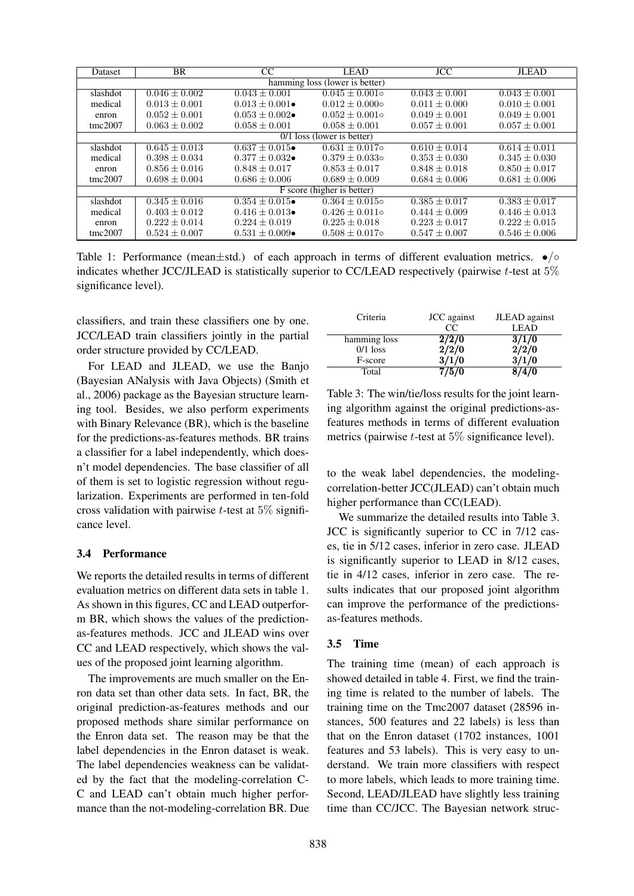| Dataset                        | BR                | CC                        | LEAD                | <b>JCC</b>        | <b>JLEAD</b>      |  |
|--------------------------------|-------------------|---------------------------|---------------------|-------------------|-------------------|--|
| hamming loss (lower is better) |                   |                           |                     |                   |                   |  |
| slashdot                       | $0.046 \pm 0.002$ | $0.043 \pm 0.001$         | $0.045 \pm 0.001$   | $0.043 \pm 0.001$ | $0.043 \pm 0.001$ |  |
| medical                        | $0.013 \pm 0.001$ | $0.013 \pm 0.001 \bullet$ | $0.012 \pm 0.000$ o | $0.011 \pm 0.000$ | $0.010 \pm 0.001$ |  |
| enron                          | $0.052 \pm 0.001$ | $0.053 \pm 0.002 \bullet$ | $0.052 \pm 0.001$ o | $0.049 \pm 0.001$ | $0.049 \pm 0.001$ |  |
| tmc2007                        | $0.063 \pm 0.002$ | $0.058 \pm 0.001$         | $0.058 \pm 0.001$   | $0.057 \pm 0.001$ | $0.057 \pm 0.001$ |  |
| $0/1$ loss (lower is better)   |                   |                           |                     |                   |                   |  |
| slashdot                       | $0.645 \pm 0.013$ | $0.637 + 0.015 \bullet$   | $0.631 + 0.017$ o   | $0.610 + 0.014$   | $0.614 \pm 0.011$ |  |
| medical                        | $0.398 + 0.034$   | $0.377 + 0.032 \bullet$   | $0.379 + 0.033$ o   | $0.353 \pm 0.030$ | $0.345 \pm 0.030$ |  |
| enron                          | $0.856 \pm 0.016$ | $0.848 + 0.017$           | $0.853 + 0.017$     | $0.848 \pm 0.018$ | $0.850 \pm 0.017$ |  |
| tmc2007                        | $0.698 \pm 0.004$ | $0.686 \pm 0.006$         | $0.689 \pm 0.009$   | $0.684 \pm 0.006$ | $0.681 \pm 0.006$ |  |
| F score (higher is better)     |                   |                           |                     |                   |                   |  |
| slashdot                       | $0.345 \pm 0.016$ | $0.354 + 0.015 \bullet$   | $0.364 + 0.015$ o   | $0.385 + 0.017$   | $0.383 \pm 0.017$ |  |
| medical                        | $0.403 \pm 0.012$ | $0.416 \pm 0.013 \bullet$ | $0.426 \pm 0.011$ o | $0.444 \pm 0.009$ | $0.446 \pm 0.013$ |  |
| enron                          | $0.222 \pm 0.014$ | $0.224 \pm 0.019$         | $0.225 \pm 0.018$   | $0.223 \pm 0.017$ | $0.222 \pm 0.015$ |  |
| tmc2007                        | $0.524 \pm 0.007$ | $0.531 \pm 0.009 \bullet$ | $0.508 \pm 0.017$ o | $0.547 \pm 0.007$ | $0.546 \pm 0.006$ |  |

Table 1: Performance (mean $\pm$ std.) of each approach in terms of different evaluation metrics.  $\bullet$  / $\circ$ indicates whether JCC/JLEAD is statistically superior to CC/LEAD respectively (pairwise  $t$ -test at  $5\%$ significance level).

classifiers, and train these classifiers one by one. JCC/LEAD train classifiers jointly in the partial order structure provided by CC/LEAD.

For LEAD and JLEAD, we use the Banjo (Bayesian ANalysis with Java Objects) (Smith et al., 2006) package as the Bayesian structure learning tool. Besides, we also perform experiments with Binary Relevance (BR), which is the baseline for the predictions-as-features methods. BR trains a classifier for a label independently, which doesn't model dependencies. The base classifier of all of them is set to logistic regression without regularization. Experiments are performed in ten-fold cross validation with pairwise  $t$ -test at 5% significance level.

### 3.4 Performance

We reports the detailed results in terms of different evaluation metrics on different data sets in table 1. As shown in this figures, CC and LEAD outperform BR, which shows the values of the predictionas-features methods. JCC and JLEAD wins over CC and LEAD respectively, which shows the values of the proposed joint learning algorithm.

The improvements are much smaller on the Enron data set than other data sets. In fact, BR, the original prediction-as-features methods and our proposed methods share similar performance on the Enron data set. The reason may be that the label dependencies in the Enron dataset is weak. The label dependencies weakness can be validated by the fact that the modeling-correlation C-C and LEAD can't obtain much higher performance than the not-modeling-correlation BR. Due

| Criteria     | JCC against | JLEAD against |
|--------------|-------------|---------------|
|              | CC          | <b>LEAD</b>   |
| hamming loss | 2/2/0       | 3/1/0         |
| $0/1$ loss   | 2/2/0       | 2/2/0         |
| F-score      | 3/1/0       | 3/1/0         |
| Total        |             | 70            |

Table 3: The win/tie/loss results for the joint learning algorithm against the original predictions-asfeatures methods in terms of different evaluation metrics (pairwise  $t$ -test at 5% significance level).

to the weak label dependencies, the modelingcorrelation-better JCC(JLEAD) can't obtain much higher performance than CC(LEAD).

We summarize the detailed results into Table 3. JCC is significantly superior to CC in 7/12 cases, tie in 5/12 cases, inferior in zero case. JLEAD is significantly superior to LEAD in 8/12 cases, tie in 4/12 cases, inferior in zero case. The results indicates that our proposed joint algorithm can improve the performance of the predictionsas-features methods.

### 3.5 Time

The training time (mean) of each approach is showed detailed in table 4. First, we find the training time is related to the number of labels. The training time on the Tmc2007 dataset (28596 instances, 500 features and 22 labels) is less than that on the Enron dataset (1702 instances, 1001 features and 53 labels). This is very easy to understand. We train more classifiers with respect to more labels, which leads to more training time. Second, LEAD/JLEAD have slightly less training time than CC/JCC. The Bayesian network struc-